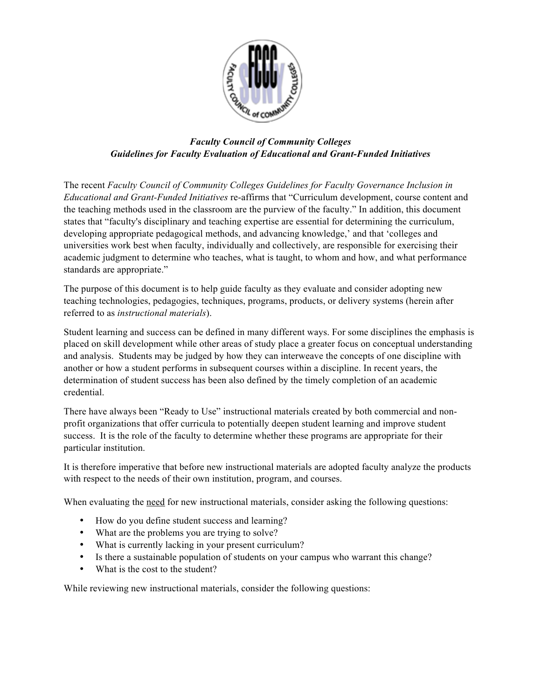

# *Faculty Council of Community Colleges Guidelines for Faculty Evaluation of Educational and Grant-Funded Initiatives*

The recent *Faculty Council of Community Colleges Guidelines for Faculty Governance Inclusion in Educational and Grant-Funded Initiatives* re-affirms that "Curriculum development, course content and the teaching methods used in the classroom are the purview of the faculty." In addition, this document states that "faculty's disciplinary and teaching expertise are essential for determining the curriculum, developing appropriate pedagogical methods, and advancing knowledge,' and that 'colleges and universities work best when faculty, individually and collectively, are responsible for exercising their academic judgment to determine who teaches, what is taught, to whom and how, and what performance standards are appropriate."

The purpose of this document is to help guide faculty as they evaluate and consider adopting new teaching technologies, pedagogies, techniques, programs, products, or delivery systems (herein after referred to as *instructional materials*).

Student learning and success can be defined in many different ways. For some disciplines the emphasis is placed on skill development while other areas of study place a greater focus on conceptual understanding and analysis. Students may be judged by how they can interweave the concepts of one discipline with another or how a student performs in subsequent courses within a discipline. In recent years, the determination of student success has been also defined by the timely completion of an academic credential.

There have always been "Ready to Use" instructional materials created by both commercial and nonprofit organizations that offer curricula to potentially deepen student learning and improve student success. It is the role of the faculty to determine whether these programs are appropriate for their particular institution.

It is therefore imperative that before new instructional materials are adopted faculty analyze the products with respect to the needs of their own institution, program, and courses.

When evaluating the need for new instructional materials, consider asking the following questions:

- How do you define student success and learning?
- What are the problems you are trying to solve?
- What is currently lacking in your present curriculum?
- Is there a sustainable population of students on your campus who warrant this change?
- What is the cost to the student?

While reviewing new instructional materials, consider the following questions: